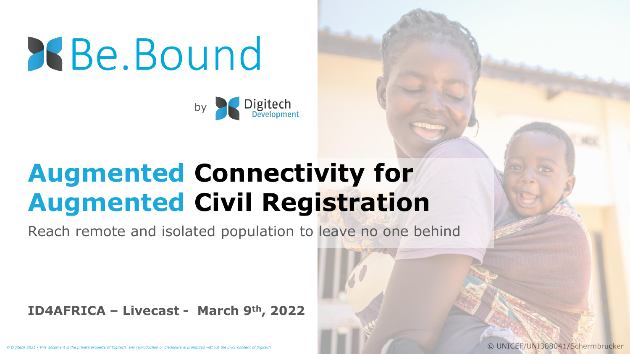**RBe.Bound** 



# **Augmented Connectivity for Augmented Civil Registration**

Reach remote and isolated population to leave no one behind

**ID4AFRICA – Livecast - March 9th, 2022**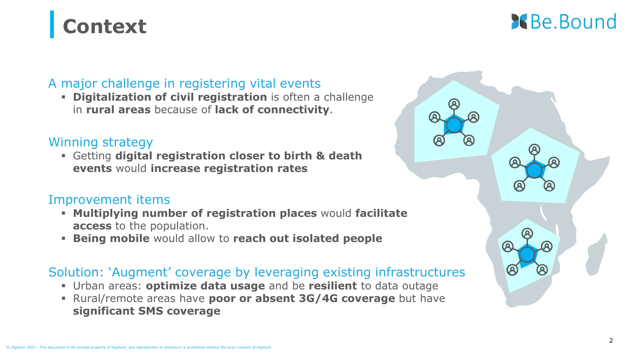# **| Context**

## **X** Be. Bound

## A major challenge in registering vital events

▪ **Digitalization of civil registration** is often a challenge in **rural areas** because of **lack of connectivity**.

#### Winning strategy

▪ Getting **digital registration closer to birth & death events** would **increase registration rates**

#### Improvement items

- **Multiplying number of registration places** would **facilitate access** to the population.
- **Being mobile** would allow to **reach out isolated people**

### Solution: 'Augment' coverage by leveraging existing infrastructures

- Urban areas: **optimize data usage** and be **resilient** to data outage
- Rural/remote areas have **poor or absent 3G/4G coverage** but have **significant SMS coverage**

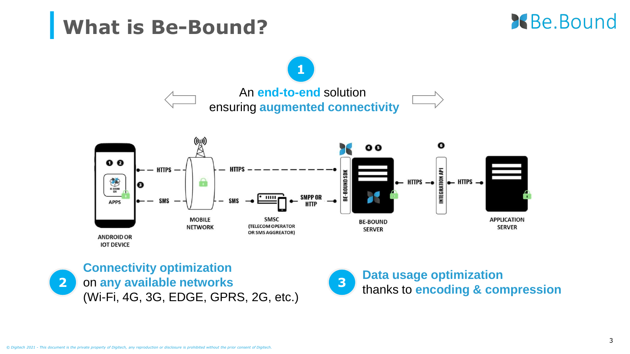## **| What is Be-Bound?**





**Connectivity optimization**  on **any available networks**  (Wi-Fi, 4G, 3G, EDGE, GPRS, 2G, etc.)



#### **Data usage optimization**  thanks to **encoding & compression <sup>3</sup>**

**2**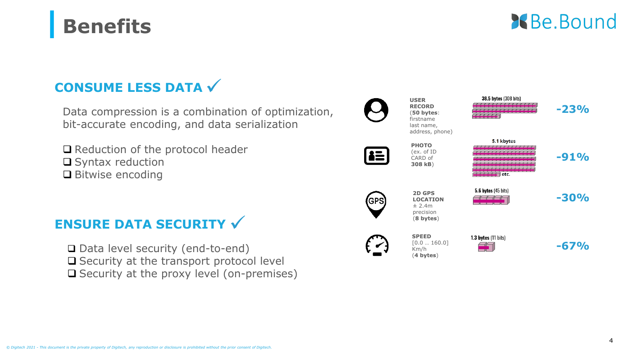## **CONSUME LESS DATA√**

**| Benefits**

Data compression is a combination of optimization, bit-accurate encoding, and data serialization

❑ Reduction of the protocol header ❑ Syntax reduction ❑ Bitwise encoding

## **ENSURE DATA SECURITY √**

❑ Data level security (end-to-end) ❑ Security at the transport protocol level ❑ Security at the proxy level (on-premises)

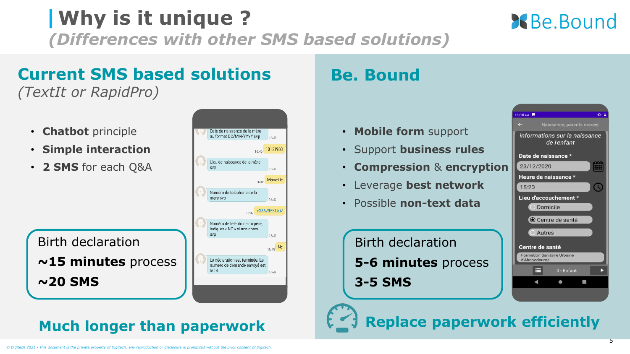#### • **Chatbot** principle Date de naissance de la mère au format DD/MM/YYYY syp 16-39 • **Simple interaction** 10121980

**Current SMS based solutions** 

• **2 SMS** for each Q&A

*(TextIt or RapidPro)*

Birth declaration **~15 minutes** process **~20 SMS**

# **| Why is it unique ?**

*(Differences with other SMS based solutions)*

Lieu de naissance de la mère

Numéro de téléphone de la

Numéro de téléphone du père, indiquer « NC » si non connu

La déclaration est terminée. Le

numéro de demande envoyé est

16:46

Marseille 16:46

16:47

16:48

16:48 No

16:48

16:47 +33629551702

syn

mère svp

 $le: 4$ 



- **Mobile form** support
- Support **business rules**
- **Compression** & **encryption**
- Leverage **best network**
- Possible **non-text data**

Birth declaration **5-6 minutes** process **3-5 SMS**



**Much longer than paperwork Replace paperwork efficiently**

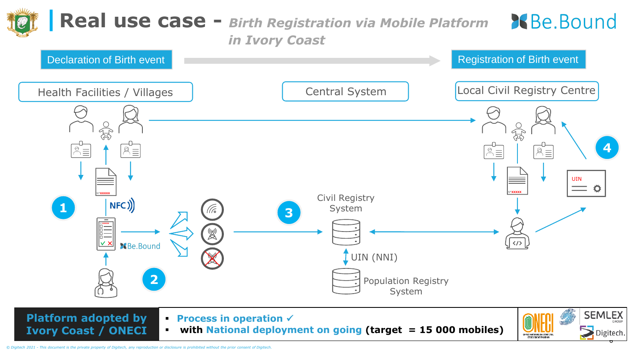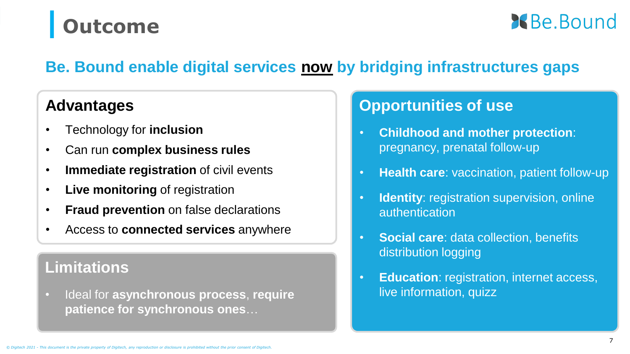# **| Outcome**

**Be** Bound

## **Be. Bound enable digital services now by bridging infrastructures gaps**

## **Advantages**

- Technology for **inclusion**
- Can run **complex business rules**
- **Immediate registration** of civil events
- **Live monitoring** of registration
- **Fraud prevention** on false declarations
- Access to **connected services** anywhere

## **Limitations**

• Ideal for **asynchronous process**, **require patience for synchronous ones**…

## **Opportunities of use**

- **Childhood and mother protection**: pregnancy, prenatal follow-up
- **Health care**: vaccination, patient follow-up
- **Identity: registration supervision, online** authentication
- **Social care**: data collection, benefits distribution logging
- **Education: registration, internet access,** live information, quizz